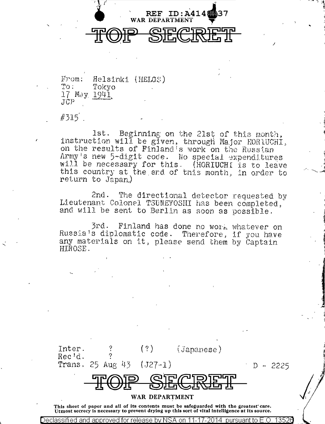

WAR DEPARTM

REF TD:  $\Delta 414$ .37738

/

..

I

From: Helsinki (HELGS)  $\mathbb{C}^n$ okyo 17 May <u>1941</u>.<br>JCP

 $#315$ .

1st. Beginning on the 21st of this raonth, instruction will be given, through Major HOR1UCHI. on the results of Finland's work on the Russian Army's new 5-digit code. No special expenditures will be necessary for this. (HORIUCHI is to leave this country at the.erd of this month, in order to return to Japan.)

2nd. The directional detector requested by Lieutenant Colonel TSUNEYOSHI has been completed, and will be sent to Berlln as soon as possible.

3rd. Finland has done no work whatever on Russia's diplomatic code. Therefore, if you have any materials on it, please send them by Captain HIROSE.

| Inter.<br>Rec'd.                                                                                                                                                                           | $\frac{1}{2}$              | $(\hspace{.08cm} ? \hspace{.08cm})$ | (Japanese)         |
|--------------------------------------------------------------------------------------------------------------------------------------------------------------------------------------------|----------------------------|-------------------------------------|--------------------|
|                                                                                                                                                                                            | Trans. 25 Aug 43 $(J27-1)$ |                                     | $\cdot$ D $-$ 2225 |
| r Dil Lun                                                                                                                                                                                  |                            |                                     |                    |
| WAR DEPARTMENT                                                                                                                                                                             |                            |                                     |                    |
| This sheet of paper and all of its contents must be safeguarded with the greatest care.<br>Utmost secrecy is necessary to prevent drying up this sort of vital intelligence at its source. |                            |                                     |                    |

Declassified and approved for release by NSA on 11-17-2014 pursuant